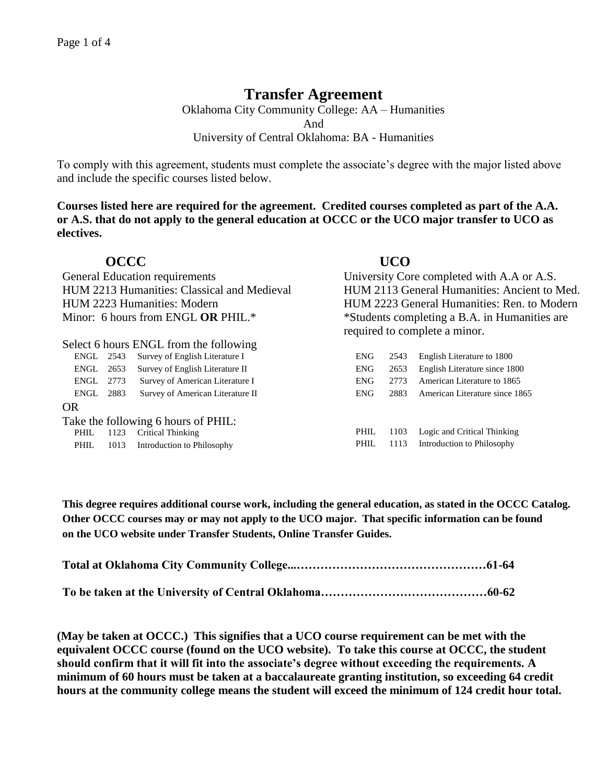# **Transfer Agreement**

Oklahoma City Community College: AA – Humanities And University of Central Oklahoma: BA - Humanities

To comply with this agreement, students must complete the associate's degree with the major listed above and include the specific courses listed below.

**Courses listed here are required for the agreement. Credited courses completed as part of the A.A. or A.S. that do not apply to the general education at OCCC or the UCO major transfer to UCO as electives.**

|                                             | <b>OCCC</b> |                                        | <b>UCO</b>                                    |      |                                |
|---------------------------------------------|-------------|----------------------------------------|-----------------------------------------------|------|--------------------------------|
| General Education requirements              |             |                                        | University Core completed with A.A or A.S.    |      |                                |
| HUM 2213 Humanities: Classical and Medieval |             |                                        | HUM 2113 General Humanities: Ancient to Med.  |      |                                |
| HUM 2223 Humanities: Modern                 |             |                                        | HUM 2223 General Humanities: Ren. to Modern   |      |                                |
| Minor: 6 hours from ENGL OR PHIL.*          |             |                                        | *Students completing a B.A. in Humanities are |      |                                |
|                                             |             |                                        | required to complete a minor.                 |      |                                |
|                                             |             | Select 6 hours ENGL from the following |                                               |      |                                |
| ENGL                                        | 2543        | Survey of English Literature I         | <b>ENG</b>                                    | 2543 | English Literature to 1800     |
| ENGL                                        | 2653        | Survey of English Literature II        | <b>ENG</b>                                    | 2653 | English Literature since 1800  |
| ENGL                                        | 2773        | Survey of American Literature I        | ENG.                                          | 2773 | American Literature to 1865    |
| ENGL                                        | 2883        | Survey of American Literature II       | <b>ENG</b>                                    | 2883 | American Literature since 1865 |
| <b>OR</b>                                   |             |                                        |                                               |      |                                |
|                                             |             | Take the following 6 hours of PHIL:    |                                               |      |                                |
| PHIL                                        | 1123        | <b>Critical Thinking</b>               | PHIL                                          | 1103 | Logic and Critical Thinking    |
| PHIL.                                       | 1013        | Introduction to Philosophy             | PHIL                                          | 1113 | Introduction to Philosophy     |
|                                             |             |                                        |                                               |      |                                |

**This degree requires additional course work, including the general education, as stated in the OCCC Catalog. Other OCCC courses may or may not apply to the UCO major. That specific information can be found on the UCO website under Transfer Students, Online Transfer Guides.** 

**(May be taken at OCCC.) This signifies that a UCO course requirement can be met with the equivalent OCCC course (found on the UCO website). To take this course at OCCC, the student should confirm that it will fit into the associate's degree without exceeding the requirements. A minimum of 60 hours must be taken at a baccalaureate granting institution, so exceeding 64 credit hours at the community college means the student will exceed the minimum of 124 credit hour total.**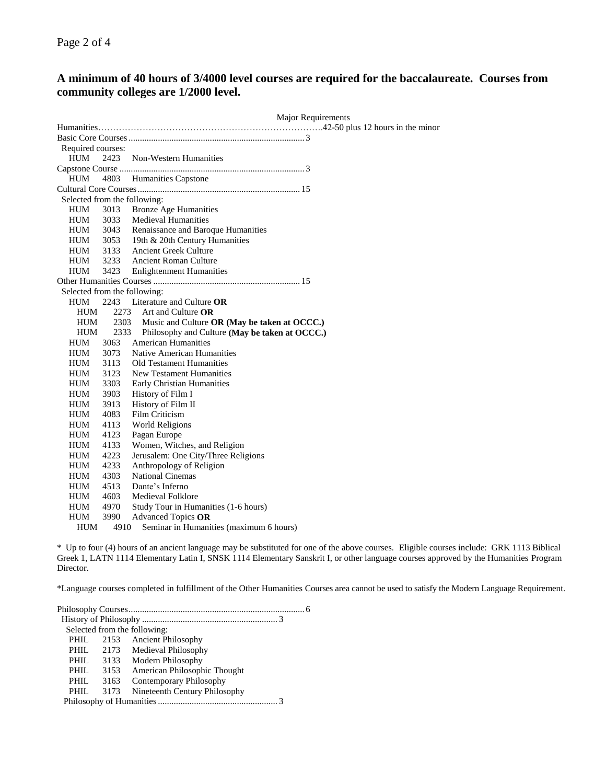## **A minimum of 40 hours of 3/4000 level courses are required for the baccalaureate. Courses from community colleges are 1/2000 level.**

|                   |      | <b>Major Requirements</b>                      |  |  |  |
|-------------------|------|------------------------------------------------|--|--|--|
|                   |      |                                                |  |  |  |
|                   |      |                                                |  |  |  |
| Required courses: |      |                                                |  |  |  |
| HUM               | 2423 | Non-Western Humanities                         |  |  |  |
|                   |      |                                                |  |  |  |
| HUM               | 4803 | Humanities Capstone                            |  |  |  |
|                   |      |                                                |  |  |  |
|                   |      | Selected from the following:                   |  |  |  |
| HUM               | 3013 | <b>Bronze Age Humanities</b>                   |  |  |  |
| <b>HUM</b>        | 3033 | <b>Medieval Humanities</b>                     |  |  |  |
| <b>HUM</b>        | 3043 | Renaissance and Baroque Humanities             |  |  |  |
| <b>HUM</b>        | 3053 | 19th & 20th Century Humanities                 |  |  |  |
| HUM               | 3133 | <b>Ancient Greek Culture</b>                   |  |  |  |
| <b>HUM</b>        | 3233 | <b>Ancient Roman Culture</b>                   |  |  |  |
| <b>HUM</b>        | 3423 | <b>Enlightenment Humanities</b>                |  |  |  |
|                   |      |                                                |  |  |  |
|                   |      | Selected from the following:                   |  |  |  |
| HUM               | 2243 | Literature and Culture OR                      |  |  |  |
| HUM               | 2273 | Art and Culture OR                             |  |  |  |
| HUM               | 2303 | Music and Culture OR (May be taken at OCCC.)   |  |  |  |
| <b>HUM</b>        | 2333 | Philosophy and Culture (May be taken at OCCC.) |  |  |  |
| <b>HUM</b>        | 3063 | <b>American Humanities</b>                     |  |  |  |
| HUM               | 3073 | Native American Humanities                     |  |  |  |
| <b>HUM</b>        | 3113 | <b>Old Testament Humanities</b>                |  |  |  |
| <b>HUM</b>        | 3123 | <b>New Testament Humanities</b>                |  |  |  |
| <b>HUM</b>        | 3303 | Early Christian Humanities                     |  |  |  |
| <b>HUM</b>        | 3903 | History of Film I                              |  |  |  |
| <b>HUM</b>        | 3913 | History of Film II                             |  |  |  |
| <b>HUM</b>        | 4083 | Film Criticism                                 |  |  |  |
| <b>HUM</b>        | 4113 | <b>World Religions</b>                         |  |  |  |
| HUM               | 4123 | Pagan Europe                                   |  |  |  |
| <b>HUM</b>        | 4133 | Women, Witches, and Religion                   |  |  |  |
| <b>HUM</b>        | 4223 | Jerusalem: One City/Three Religions            |  |  |  |
| HUM               | 4233 | Anthropology of Religion                       |  |  |  |
| <b>HUM</b>        | 4303 | <b>National Cinemas</b>                        |  |  |  |
| <b>HUM</b>        | 4513 | Dante's Inferno                                |  |  |  |
| <b>HUM</b>        | 4603 | Medieval Folklore                              |  |  |  |
| HUM               | 4970 | Study Tour in Humanities (1-6 hours)           |  |  |  |
| <b>HUM</b>        | 3990 | Advanced Topics OR                             |  |  |  |
| HUM               | 4910 | Seminar in Humanities (maximum 6 hours)        |  |  |  |

\* Up to four (4) hours of an ancient language may be substituted for one of the above courses. Eligible courses include: GRK 1113 Biblical Greek 1, LATN 1114 Elementary Latin I, SNSK 1114 Elementary Sanskrit I, or other language courses approved by the Humanities Program Director.

\*Language courses completed in fulfillment of the Other Humanities Courses area cannot be used to satisfy the Modern Language Requirement.

| Selected from the following: |                               |
|------------------------------|-------------------------------|
| PHIL.                        | 2153 Ancient Philosophy       |
| PHIL.                        | 2173 Medieval Philosophy      |
| PHIL.                        | 3133 Modern Philosophy        |
| 3153<br>PHIL                 | American Philosophic Thought  |
| PHIL.<br>3163                | Contemporary Philosophy       |
| 3173<br>PHIL.                | Nineteenth Century Philosophy |
|                              |                               |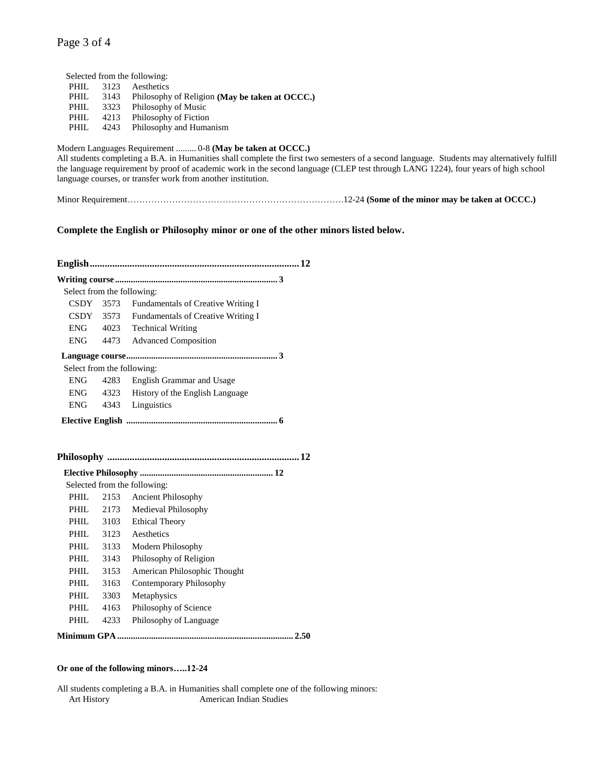### Page 3 of 4

|             |      | Selected from the following:                        |
|-------------|------|-----------------------------------------------------|
| PHIL.       |      | 3123 Aesthetics                                     |
| <b>PHIL</b> |      | 3143 Philosophy of Religion (May be taken at OCCC.) |
| PHIL        |      | 3323 Philosophy of Music                            |
| PHIL.       | 4213 | Philosophy of Fiction                               |
| PHIL.       | 4243 | Philosophy and Humanism                             |

#### Modern Languages Requirement ......... 0-8 **(May be taken at OCCC.)**

All students completing a B.A. in Humanities shall complete the first two semesters of a second language. Students may alternatively fulfill the language requirement by proof of academic work in the second language (CLEP test through LANG 1224), four years of high school language courses, or transfer work from another institution.

Minor Requirement……………………………………………………………….12-24 **(Some of the minor may be taken at OCCC.)**

### **Complete the English or Philosophy minor or one of the other minors listed below.**

| Select from the following: |      |                                      |
|----------------------------|------|--------------------------------------|
| $CSDY$ 3573                |      | Fundamentals of Creative Writing I   |
| CSDY                       | 3573 | Fundamentals of Creative Writing I   |
| <b>ENG</b>                 | 4023 | <b>Technical Writing</b>             |
| <b>ENG</b>                 | 4473 | <b>Advanced Composition</b>          |
|                            |      |                                      |
|                            |      | Select from the following:           |
| <b>ENG</b>                 | 4283 | English Grammar and Usage            |
| <b>ENG</b>                 |      | 4323 History of the English Language |
| <b>ENG</b>                 |      | 4343 Linguistics                     |
|                            |      |                                      |
|                            |      |                                      |
|                            |      |                                      |
|                            |      |                                      |
|                            |      |                                      |
|                            |      | Selected from the following:         |
| PHIL.                      | 2153 | <b>Ancient Philosophy</b>            |
| PHIL                       | 2173 | Medieval Philosophy                  |
| PHIL.                      | 3103 | <b>Ethical Theory</b>                |
| PHIL                       | 3123 | Aesthetics                           |
| PHIL                       | 3133 | Modern Philosophy                    |
| PHIL.                      | 3143 | Philosophy of Religion               |
| PHIL                       | 3153 | American Philosophic Thought         |
| PHIL                       | 3163 | <b>Contemporary Philosophy</b>       |
| PHIL                       | 3303 | Metaphysics                          |
| PHIL.                      | 4163 | Philosophy of Science                |
| PHIL.                      | 4233 | Philosophy of Language               |
|                            |      |                                      |

#### **Or one of the following minors…..12-24**

All students completing a B.A. in Humanities shall complete one of the following minors: Art History **American Indian Studies**